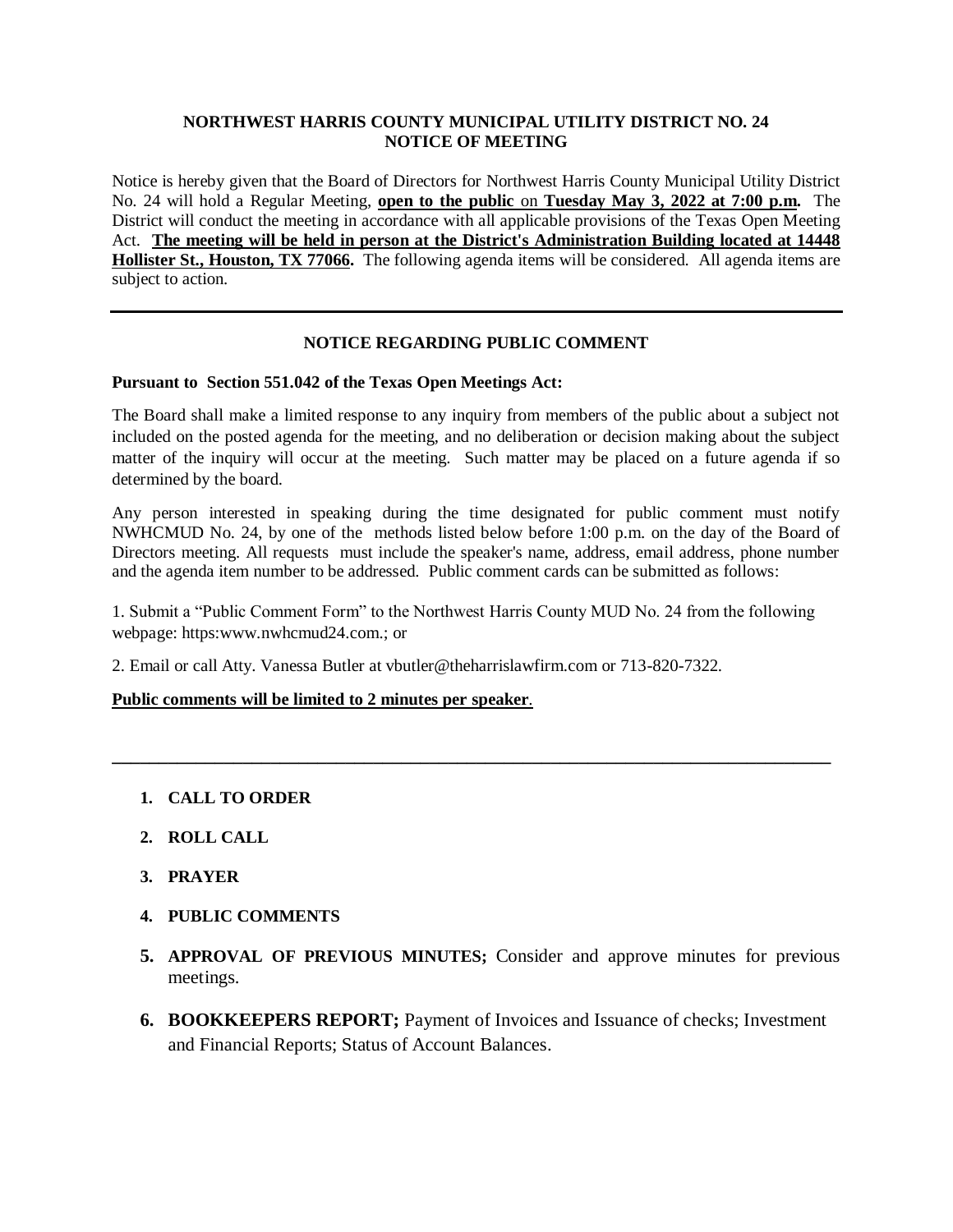## **NORTHWEST HARRIS COUNTY MUNICIPAL UTILITY DISTRICT NO. 24 NOTICE OF MEETING**

Notice is hereby given that the Board of Directors for Northwest Harris County Municipal Utility District No. 24 will hold a Regular Meeting, **open to the public** on **Tuesday May 3, 2022 at 7:00 p.m.** The District will conduct the meeting in accordance with all applicable provisions of the Texas Open Meeting Act. **The meeting will be held in person at the District's Administration Building located at 14448 Hollister St., Houston, TX 77066.** The following agenda items will be considered. All agenda items are subject to action.

# **NOTICE REGARDING PUBLIC COMMENT**

### **Pursuant to Section 551.042 of the Texas Open Meetings Act:**

The Board shall make a limited response to any inquiry from members of the public about a subject not included on the posted agenda for the meeting, and no deliberation or decision making about the subject matter of the inquiry will occur at the meeting. Such matter may be placed on a future agenda if so determined by the board.

Any person interested in speaking during the time designated for public comment must notify NWHCMUD No. 24, by one of the methods listed below before 1:00 p.m. on the day of the Board of Directors meeting. All requests must include the speaker's name, address, email address, phone number and the agenda item number to be addressed. Public comment cards can be submitted as follows:

1. Submit a "Public Comment Form" to the Northwest Harris County MUD No. 24 from the following webpage: https:www.nwhcmud24.com.; or

**\_\_\_\_\_\_\_\_\_\_\_\_\_\_\_\_\_\_\_\_\_\_\_\_\_\_\_\_\_\_\_\_\_\_\_\_\_\_\_\_\_\_\_\_\_\_\_\_\_\_\_\_\_\_\_\_\_\_\_\_\_\_\_\_\_\_\_\_\_\_\_\_\_\_\_\_\_**

2. Email or call Atty. Vanessa Butler at vbutler@theharrislawfirm.com or 713-820-7322.

## **Public comments will be limited to 2 minutes per speaker**.

- **1. CALL TO ORDER**
- **2. ROLL CALL**
- **3. PRAYER**
- **4. PUBLIC COMMENTS**
- **5. APPROVAL OF PREVIOUS MINUTES;** Consider and approve minutes for previous meetings.
- **6. BOOKKEEPERS REPORT;** Payment of Invoices and Issuance of checks; Investment and Financial Reports; Status of Account Balances.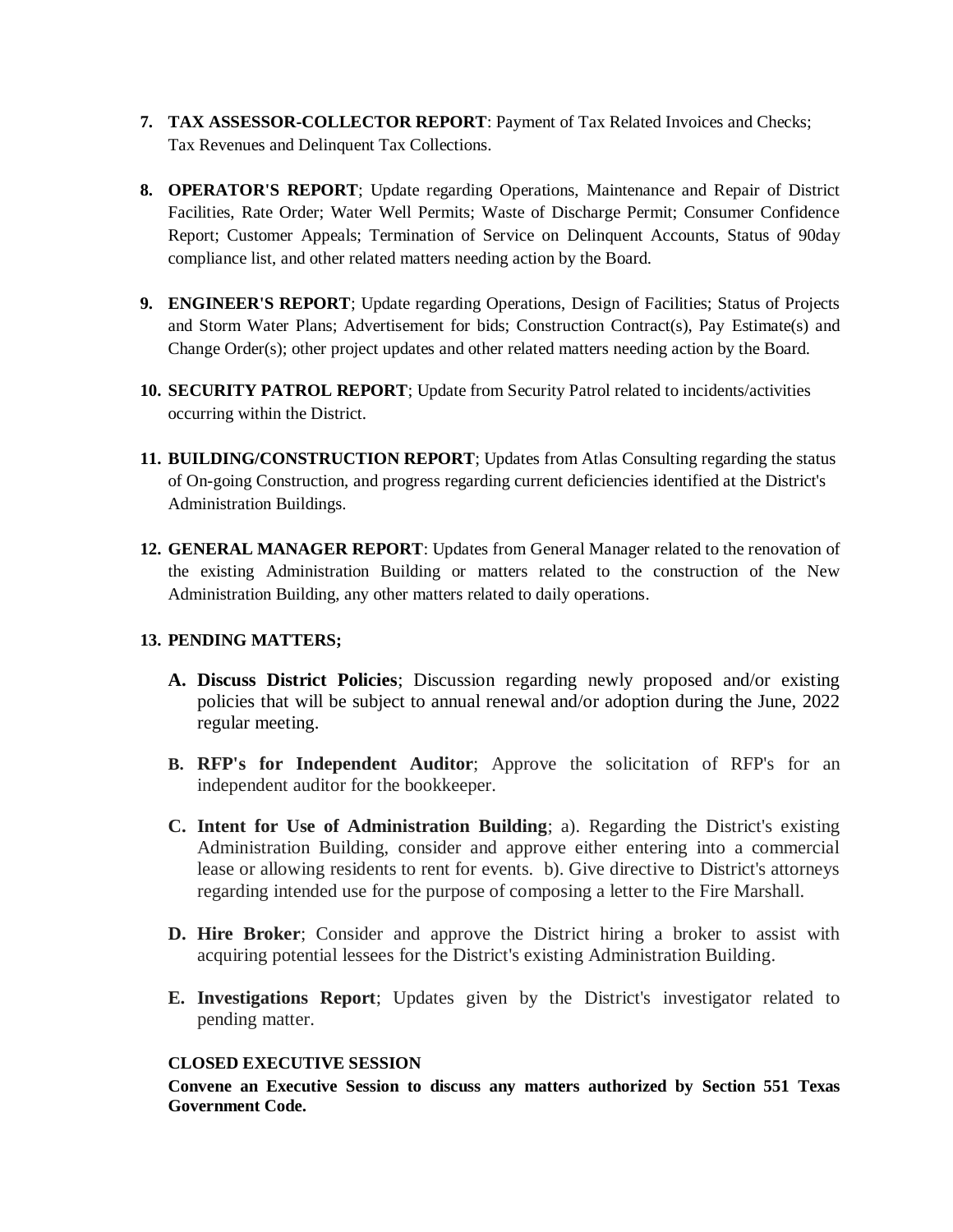- **7. TAX ASSESSOR-COLLECTOR REPORT**: Payment of Tax Related Invoices and Checks; Tax Revenues and Delinquent Tax Collections.
- **8. OPERATOR'S REPORT**; Update regarding Operations, Maintenance and Repair of District Facilities, Rate Order; Water Well Permits; Waste of Discharge Permit; Consumer Confidence Report; Customer Appeals; Termination of Service on Delinquent Accounts, Status of 90day compliance list, and other related matters needing action by the Board.
- **9. ENGINEER'S REPORT**; Update regarding Operations, Design of Facilities; Status of Projects and Storm Water Plans; Advertisement for bids; Construction Contract(s), Pay Estimate(s) and Change Order(s); other project updates and other related matters needing action by the Board.
- **10. SECURITY PATROL REPORT**; Update from Security Patrol related to incidents/activities occurring within the District.
- **11. BUILDING/CONSTRUCTION REPORT**; Updates from Atlas Consulting regarding the status of On-going Construction, and progress regarding current deficiencies identified at the District's Administration Buildings.
- **12. GENERAL MANAGER REPORT**: Updates from General Manager related to the renovation of the existing Administration Building or matters related to the construction of the New Administration Building, any other matters related to daily operations.

# **13. PENDING MATTERS;**

- **A. Discuss District Policies**; Discussion regarding newly proposed and/or existing policies that will be subject to annual renewal and/or adoption during the June, 2022 regular meeting.
- **B. RFP's for Independent Auditor**; Approve the solicitation of RFP's for an independent auditor for the bookkeeper.
- **C. Intent for Use of Administration Building**; a). Regarding the District's existing Administration Building, consider and approve either entering into a commercial lease or allowing residents to rent for events. b). Give directive to District's attorneys regarding intended use for the purpose of composing a letter to the Fire Marshall.
- **D. Hire Broker**; Consider and approve the District hiring a broker to assist with acquiring potential lessees for the District's existing Administration Building.
- **E. Investigations Report**; Updates given by the District's investigator related to pending matter.

## **CLOSED EXECUTIVE SESSION**

**Convene an Executive Session to discuss any matters authorized by Section 551 Texas Government Code.**